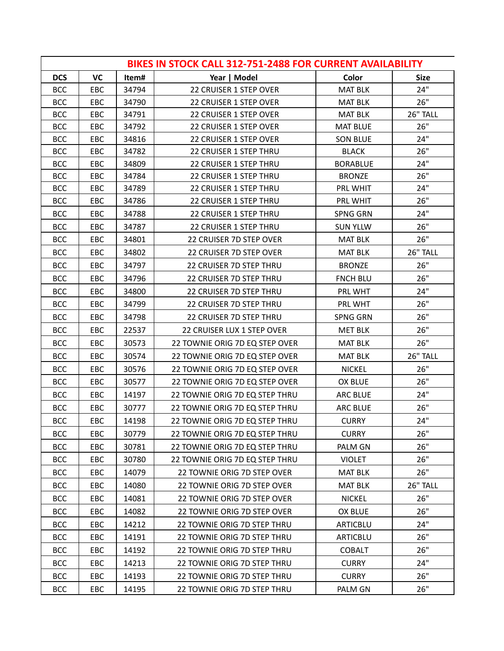|            | <b>BIKES IN STOCK CALL 312-751-2488 FOR CURRENT AVAILABILITY</b> |       |                                |                 |             |
|------------|------------------------------------------------------------------|-------|--------------------------------|-----------------|-------------|
| <b>DCS</b> | VC                                                               | Item# | Year   Model                   | Color           | <b>Size</b> |
| <b>BCC</b> | EBC                                                              | 34794 | 22 CRUISER 1 STEP OVER         | <b>MAT BLK</b>  | 24"         |
| <b>BCC</b> | EBC                                                              | 34790 | 22 CRUISER 1 STEP OVER         | <b>MAT BLK</b>  | 26"         |
| <b>BCC</b> | EBC                                                              | 34791 | 22 CRUISER 1 STEP OVER         | <b>MAT BLK</b>  | 26" TALL    |
| <b>BCC</b> | EBC                                                              | 34792 | 22 CRUISER 1 STEP OVER         | <b>MAT BLUE</b> | 26"         |
| <b>BCC</b> | EBC                                                              | 34816 | 22 CRUISER 1 STEP OVER         | <b>SON BLUE</b> | 24"         |
| <b>BCC</b> | EBC                                                              | 34782 | 22 CRUISER 1 STEP THRU         | <b>BLACK</b>    | 26"         |
| <b>BCC</b> | EBC                                                              | 34809 | 22 CRUISER 1 STEP THRU         | <b>BORABLUE</b> | 24"         |
| <b>BCC</b> | EBC                                                              | 34784 | 22 CRUISER 1 STEP THRU         | <b>BRONZE</b>   | 26"         |
| <b>BCC</b> | EBC                                                              | 34789 | 22 CRUISER 1 STEP THRU         | PRL WHIT        | 24"         |
| <b>BCC</b> | EBC                                                              | 34786 | 22 CRUISER 1 STEP THRU         | PRL WHIT        | 26"         |
| <b>BCC</b> | EBC                                                              | 34788 | 22 CRUISER 1 STEP THRU         | <b>SPNG GRN</b> | 24"         |
| <b>BCC</b> | <b>EBC</b>                                                       | 34787 | 22 CRUISER 1 STEP THRU         | <b>SUN YLLW</b> | 26"         |
| <b>BCC</b> | EBC                                                              | 34801 | 22 CRUISER 7D STEP OVER        | <b>MAT BLK</b>  | 26"         |
| <b>BCC</b> | EBC                                                              | 34802 | 22 CRUISER 7D STEP OVER        | <b>MAT BLK</b>  | 26" TALL    |
| <b>BCC</b> | EBC                                                              | 34797 | 22 CRUISER 7D STEP THRU        | <b>BRONZE</b>   | 26"         |
| <b>BCC</b> | <b>EBC</b>                                                       | 34796 | 22 CRUISER 7D STEP THRU        | <b>FNCH BLU</b> | 26"         |
| <b>BCC</b> | EBC                                                              | 34800 | 22 CRUISER 7D STEP THRU        | PRL WHT         | 24"         |
| <b>BCC</b> | EBC                                                              | 34799 | 22 CRUISER 7D STEP THRU        | PRL WHT         | 26"         |
| <b>BCC</b> | EBC                                                              | 34798 | 22 CRUISER 7D STEP THRU        | <b>SPNG GRN</b> | 26"         |
| <b>BCC</b> | <b>EBC</b>                                                       | 22537 | 22 CRUISER LUX 1 STEP OVER     | <b>MET BLK</b>  | 26"         |
| <b>BCC</b> | EBC                                                              | 30573 | 22 TOWNIE ORIG 7D EQ STEP OVER | <b>MAT BLK</b>  | 26"         |
| <b>BCC</b> | EBC                                                              | 30574 | 22 TOWNIE ORIG 7D EQ STEP OVER | <b>MAT BLK</b>  | 26" TALL    |
| <b>BCC</b> | EBC                                                              | 30576 | 22 TOWNIE ORIG 7D EQ STEP OVER | <b>NICKEL</b>   | 26"         |
| <b>BCC</b> | <b>EBC</b>                                                       | 30577 | 22 TOWNIE ORIG 7D EQ STEP OVER | OX BLUE         | 26"         |
| <b>BCC</b> | EBC                                                              | 14197 | 22 TOWNIE ORIG 7D EQ STEP THRU | ARC BLUE        | 24"         |
| <b>BCC</b> | EBC                                                              | 30777 | 22 TOWNIE ORIG 7D EQ STEP THRU | ARC BLUE        | 26"         |
| <b>BCC</b> | EBC                                                              | 14198 | 22 TOWNIE ORIG 7D EQ STEP THRU | <b>CURRY</b>    | 24"         |
| <b>BCC</b> | EBC                                                              | 30779 | 22 TOWNIE ORIG 7D EQ STEP THRU | <b>CURRY</b>    | 26"         |
| <b>BCC</b> | EBC                                                              | 30781 | 22 TOWNIE ORIG 7D EQ STEP THRU | PALM GN         | 26"         |
| <b>BCC</b> | EBC                                                              | 30780 | 22 TOWNIE ORIG 7D EQ STEP THRU | <b>VIOLET</b>   | 26"         |
| <b>BCC</b> | EBC                                                              | 14079 | 22 TOWNIE ORIG 7D STEP OVER    | <b>MAT BLK</b>  | 26"         |
| <b>BCC</b> | EBC                                                              | 14080 | 22 TOWNIE ORIG 7D STEP OVER    | <b>MAT BLK</b>  | 26" TALL    |
| <b>BCC</b> | EBC                                                              | 14081 | 22 TOWNIE ORIG 7D STEP OVER    | <b>NICKEL</b>   | 26"         |
| <b>BCC</b> | EBC                                                              | 14082 | 22 TOWNIE ORIG 7D STEP OVER    | OX BLUE         | 26"         |
| <b>BCC</b> | EBC                                                              | 14212 | 22 TOWNIE ORIG 7D STEP THRU    | <b>ARTICBLU</b> | 24"         |
| <b>BCC</b> | EBC                                                              | 14191 | 22 TOWNIE ORIG 7D STEP THRU    | <b>ARTICBLU</b> | 26"         |
| <b>BCC</b> | EBC                                                              | 14192 | 22 TOWNIE ORIG 7D STEP THRU    | <b>COBALT</b>   | 26"         |
| <b>BCC</b> | EBC                                                              | 14213 | 22 TOWNIE ORIG 7D STEP THRU    | <b>CURRY</b>    | 24"         |
| <b>BCC</b> | EBC                                                              | 14193 | 22 TOWNIE ORIG 7D STEP THRU    | <b>CURRY</b>    | 26"         |
| <b>BCC</b> | EBC                                                              | 14195 | 22 TOWNIE ORIG 7D STEP THRU    | PALM GN         | 26"         |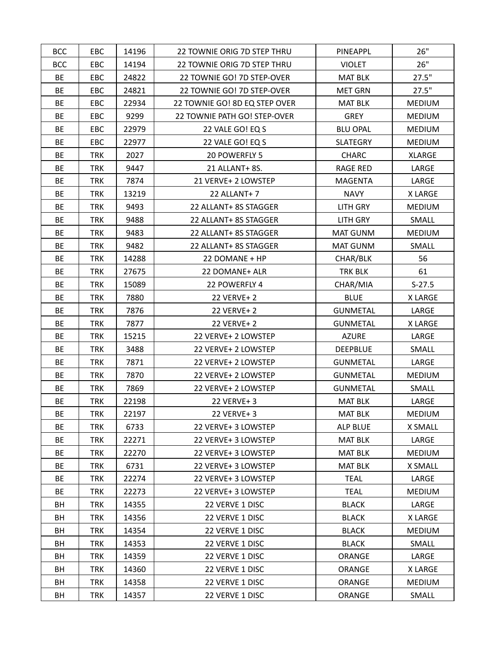| <b>BCC</b> | EBC        | 14196 | 22 TOWNIE ORIG 7D STEP THRU   | PINEAPPL        | 26"            |
|------------|------------|-------|-------------------------------|-----------------|----------------|
| <b>BCC</b> | EBC        | 14194 | 22 TOWNIE ORIG 7D STEP THRU   | <b>VIOLET</b>   | 26"            |
| BE         | EBC        | 24822 | 22 TOWNIE GO! 7D STEP-OVER    | <b>MAT BLK</b>  | 27.5"          |
| BE         | EBC        | 24821 | 22 TOWNIE GO! 7D STEP-OVER    | <b>MET GRN</b>  | 27.5"          |
| BE         | EBC        | 22934 | 22 TOWNIE GO! 8D EQ STEP OVER | <b>MAT BLK</b>  | <b>MEDIUM</b>  |
| BE         | EBC        | 9299  | 22 TOWNIE PATH GO! STEP-OVER  | <b>GREY</b>     | <b>MEDIUM</b>  |
| BE         | EBC        | 22979 | 22 VALE GO! EQ S              | <b>BLU OPAL</b> | <b>MEDIUM</b>  |
| <b>BE</b>  | EBC        | 22977 | 22 VALE GO! EQ S              | <b>SLATEGRY</b> | <b>MEDIUM</b>  |
| BE         | <b>TRK</b> | 2027  | 20 POWERFLY 5                 | <b>CHARC</b>    | <b>XLARGE</b>  |
| BE         | <b>TRK</b> | 9447  | 21 ALLANT+ 8S.                | <b>RAGE RED</b> | LARGE          |
| <b>BE</b>  | <b>TRK</b> | 7874  | 21 VERVE+ 2 LOWSTEP           | <b>MAGENTA</b>  | LARGE          |
| BE         | <b>TRK</b> | 13219 | 22 ALLANT+7                   | <b>NAVY</b>     | <b>X LARGE</b> |
| BE         | <b>TRK</b> | 9493  | 22 ALLANT+ 8S STAGGER         | LITH GRY        | <b>MEDIUM</b>  |
| BE         | <b>TRK</b> | 9488  | 22 ALLANT+ 8S STAGGER         | <b>LITH GRY</b> | SMALL          |
| BE         | <b>TRK</b> | 9483  | 22 ALLANT+ 8S STAGGER         | <b>MAT GUNM</b> | <b>MEDIUM</b>  |
| BE         | <b>TRK</b> | 9482  | 22 ALLANT+ 8S STAGGER         | <b>MAT GUNM</b> | SMALL          |
| BE         | <b>TRK</b> | 14288 | 22 DOMANE + HP                | CHAR/BLK        | 56             |
| BE         | <b>TRK</b> | 27675 | 22 DOMANE+ ALR                | <b>TRK BLK</b>  | 61             |
| BE         | <b>TRK</b> | 15089 | 22 POWERFLY 4                 | CHAR/MIA        | $S-27.5$       |
| BE         | <b>TRK</b> | 7880  | <b>22 VERVE+2</b>             | <b>BLUE</b>     | X LARGE        |
| BE         | <b>TRK</b> | 7876  | <b>22 VERVE+2</b>             | <b>GUNMETAL</b> | LARGE          |
| BE         | <b>TRK</b> | 7877  | <b>22 VERVE+2</b>             | <b>GUNMETAL</b> | X LARGE        |
| BE         | <b>TRK</b> | 15215 | 22 VERVE+ 2 LOWSTEP           | <b>AZURE</b>    | LARGE          |
| <b>BE</b>  | <b>TRK</b> | 3488  | 22 VERVE+ 2 LOWSTEP           | <b>DEEPBLUE</b> | SMALL          |
| BE         | <b>TRK</b> | 7871  | 22 VERVE+ 2 LOWSTEP           | <b>GUNMETAL</b> | LARGE          |
| BE         | <b>TRK</b> | 7870  | 22 VERVE+ 2 LOWSTEP           | <b>GUNMETAL</b> | <b>MEDIUM</b>  |
| <b>BE</b>  | <b>TRK</b> | 7869  | 22 VERVE+ 2 LOWSTEP           | <b>GUNMETAL</b> | SMALL          |
| BE         | <b>TRK</b> | 22198 | 22 VERVE+ 3                   | <b>MAT BLK</b>  | LARGE          |
| BE         | <b>TRK</b> | 22197 | 22 VERVE+ 3                   | <b>MAT BLK</b>  | <b>MEDIUM</b>  |
| BE         | <b>TRK</b> | 6733  | 22 VERVE+ 3 LOWSTEP           | <b>ALP BLUE</b> | X SMALL        |
| BE         | <b>TRK</b> | 22271 | 22 VERVE+ 3 LOWSTEP           | <b>MAT BLK</b>  | LARGE          |
| BE         | <b>TRK</b> | 22270 | 22 VERVE+ 3 LOWSTEP           | <b>MAT BLK</b>  | <b>MEDIUM</b>  |
| BE         | <b>TRK</b> | 6731  | 22 VERVE+ 3 LOWSTEP           | <b>MAT BLK</b>  | X SMALL        |
| BE         | <b>TRK</b> | 22274 | 22 VERVE+ 3 LOWSTEP           | <b>TEAL</b>     | LARGE          |
| BE         | <b>TRK</b> | 22273 | 22 VERVE+ 3 LOWSTEP           | <b>TEAL</b>     | <b>MEDIUM</b>  |
| BH         | <b>TRK</b> | 14355 | 22 VERVE 1 DISC               | <b>BLACK</b>    | LARGE          |
| BH         | <b>TRK</b> | 14356 | 22 VERVE 1 DISC               | <b>BLACK</b>    | <b>X LARGE</b> |
| BH         | <b>TRK</b> | 14354 | 22 VERVE 1 DISC               | <b>BLACK</b>    | <b>MEDIUM</b>  |
| BH         | <b>TRK</b> | 14353 | 22 VERVE 1 DISC               | <b>BLACK</b>    | SMALL          |
| BH         | <b>TRK</b> | 14359 | 22 VERVE 1 DISC               | ORANGE          | LARGE          |
| BH         | <b>TRK</b> | 14360 | 22 VERVE 1 DISC               | <b>ORANGE</b>   | X LARGE        |
| BH         | <b>TRK</b> | 14358 | 22 VERVE 1 DISC               | ORANGE          | <b>MEDIUM</b>  |
| BH         | <b>TRK</b> | 14357 | 22 VERVE 1 DISC               | ORANGE          | SMALL          |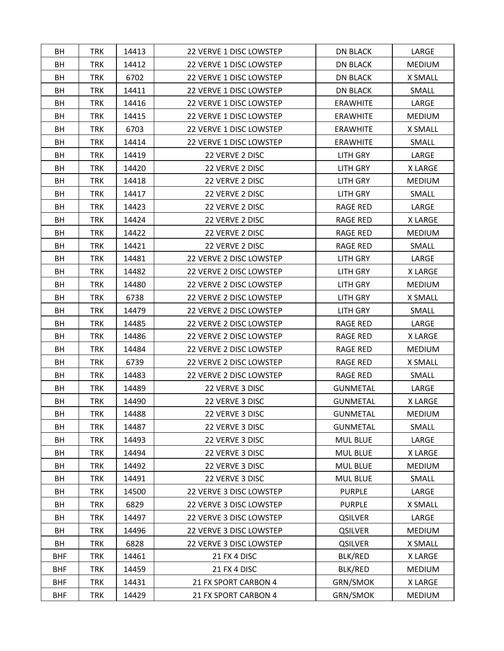| BH         | <b>TRK</b> | 14413 | 22 VERVE 1 DISC LOWSTEP | <b>DN BLACK</b> | LARGE          |
|------------|------------|-------|-------------------------|-----------------|----------------|
| BH         | <b>TRK</b> | 14412 | 22 VERVE 1 DISC LOWSTEP | <b>DN BLACK</b> | <b>MEDIUM</b>  |
| BH         | <b>TRK</b> | 6702  | 22 VERVE 1 DISC LOWSTEP | <b>DN BLACK</b> | <b>X SMALL</b> |
| BH         | <b>TRK</b> | 14411 | 22 VERVE 1 DISC LOWSTEP | <b>DN BLACK</b> | SMALL          |
| BH         | <b>TRK</b> | 14416 | 22 VERVE 1 DISC LOWSTEP | <b>ERAWHITE</b> | LARGE          |
| BH         | <b>TRK</b> | 14415 | 22 VERVE 1 DISC LOWSTEP | <b>ERAWHITE</b> | <b>MEDIUM</b>  |
| BH         | <b>TRK</b> | 6703  | 22 VERVE 1 DISC LOWSTEP | <b>ERAWHITE</b> | X SMALL        |
| BH         | <b>TRK</b> | 14414 | 22 VERVE 1 DISC LOWSTEP | <b>ERAWHITE</b> | SMALL          |
| BH         | <b>TRK</b> | 14419 | 22 VERVE 2 DISC         | LITH GRY        | LARGE          |
| BH         | <b>TRK</b> | 14420 | 22 VERVE 2 DISC         | LITH GRY        | X LARGE        |
| BH         | <b>TRK</b> | 14418 | 22 VERVE 2 DISC         | <b>LITH GRY</b> | <b>MEDIUM</b>  |
| BH         | <b>TRK</b> | 14417 | 22 VERVE 2 DISC         | LITH GRY        | SMALL          |
| BH         | <b>TRK</b> | 14423 | 22 VERVE 2 DISC         | RAGE RED        | LARGE          |
| BH         | <b>TRK</b> | 14424 | 22 VERVE 2 DISC         | <b>RAGE RED</b> | <b>X LARGE</b> |
| BH         | <b>TRK</b> | 14422 | 22 VERVE 2 DISC         | RAGE RED        | <b>MEDIUM</b>  |
| BH         | <b>TRK</b> | 14421 | 22 VERVE 2 DISC         | <b>RAGE RED</b> | SMALL          |
| BH         | <b>TRK</b> | 14481 | 22 VERVE 2 DISC LOWSTEP | LITH GRY        | LARGE          |
| BH         | <b>TRK</b> | 14482 | 22 VERVE 2 DISC LOWSTEP | <b>LITH GRY</b> | X LARGE        |
| BH         | <b>TRK</b> | 14480 | 22 VERVE 2 DISC LOWSTEP | <b>LITH GRY</b> | <b>MEDIUM</b>  |
| BH         | <b>TRK</b> | 6738  | 22 VERVE 2 DISC LOWSTEP | LITH GRY        | X SMALL        |
| BH         | <b>TRK</b> | 14479 | 22 VERVE 2 DISC LOWSTEP | <b>LITH GRY</b> | SMALL          |
| BH         | <b>TRK</b> | 14485 | 22 VERVE 2 DISC LOWSTEP | RAGE RED        | LARGE          |
| BH         | <b>TRK</b> | 14486 | 22 VERVE 2 DISC LOWSTEP | RAGE RED        | X LARGE        |
| BH         | <b>TRK</b> | 14484 | 22 VERVE 2 DISC LOWSTEP | <b>RAGE RED</b> | <b>MEDIUM</b>  |
| BH         | <b>TRK</b> | 6739  | 22 VERVE 2 DISC LOWSTEP | RAGE RED        | X SMALL        |
| BH         | <b>TRK</b> | 14483 | 22 VERVE 2 DISC LOWSTEP | <b>RAGE RED</b> | SMALL          |
| BH         | <b>TRK</b> | 14489 | 22 VERVE 3 DISC         | <b>GUNMETAL</b> | LARGE          |
| BH         | <b>TRK</b> | 14490 | 22 VERVE 3 DISC         | <b>GUNMETAL</b> | X LARGE        |
| BH         | <b>TRK</b> | 14488 | 22 VERVE 3 DISC         | <b>GUNMETAL</b> | <b>MEDIUM</b>  |
| BH         | <b>TRK</b> | 14487 | 22 VERVE 3 DISC         | <b>GUNMETAL</b> | SMALL          |
| BH         | <b>TRK</b> | 14493 | 22 VERVE 3 DISC         | <b>MUL BLUE</b> | LARGE          |
| BH         | <b>TRK</b> | 14494 | 22 VERVE 3 DISC         | <b>MUL BLUE</b> | X LARGE        |
| BH         | <b>TRK</b> | 14492 | 22 VERVE 3 DISC         | <b>MUL BLUE</b> | <b>MEDIUM</b>  |
| BH         | <b>TRK</b> | 14491 | 22 VERVE 3 DISC         | <b>MUL BLUE</b> | SMALL          |
| BH         | <b>TRK</b> | 14500 | 22 VERVE 3 DISC LOWSTEP | <b>PURPLE</b>   | LARGE          |
| BH         | <b>TRK</b> | 6829  | 22 VERVE 3 DISC LOWSTEP | <b>PURPLE</b>   | X SMALL        |
| BH         | <b>TRK</b> | 14497 | 22 VERVE 3 DISC LOWSTEP | <b>QSILVER</b>  | LARGE          |
| BH         | <b>TRK</b> | 14496 | 22 VERVE 3 DISC LOWSTEP | <b>QSILVER</b>  | <b>MEDIUM</b>  |
| BH         | <b>TRK</b> | 6828  | 22 VERVE 3 DISC LOWSTEP | <b>QSILVER</b>  | X SMALL        |
| <b>BHF</b> | <b>TRK</b> | 14461 | 21 FX 4 DISC            | BLK/RED         | X LARGE        |
| <b>BHF</b> | <b>TRK</b> | 14459 | 21 FX 4 DISC            | BLK/RED         | <b>MEDIUM</b>  |
| <b>BHF</b> | <b>TRK</b> | 14431 | 21 FX SPORT CARBON 4    | GRN/SMOK        | X LARGE        |
| <b>BHF</b> | <b>TRK</b> | 14429 | 21 FX SPORT CARBON 4    | GRN/SMOK        | <b>MEDIUM</b>  |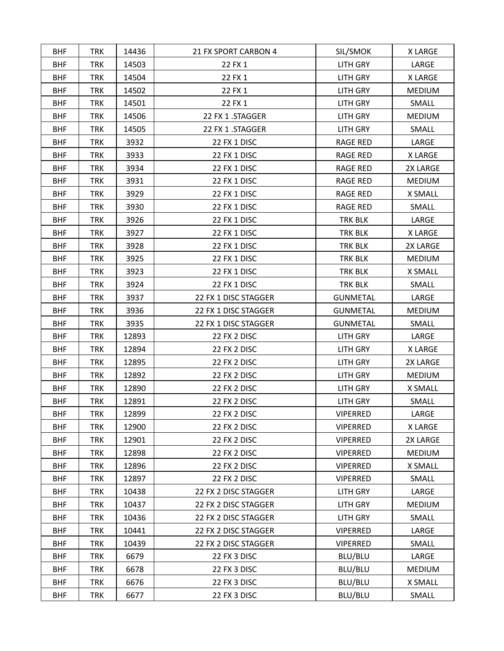| <b>BHF</b> | <b>TRK</b> | 14436 | 21 FX SPORT CARBON 4 | SIL/SMOK        | <b>X LARGE</b> |
|------------|------------|-------|----------------------|-----------------|----------------|
| <b>BHF</b> | <b>TRK</b> | 14503 | 22 FX 1              | <b>LITH GRY</b> | LARGE          |
| <b>BHF</b> | <b>TRK</b> | 14504 | 22 FX 1              | <b>LITH GRY</b> | X LARGE        |
| <b>BHF</b> | <b>TRK</b> | 14502 | 22 FX 1              | <b>LITH GRY</b> | <b>MEDIUM</b>  |
| <b>BHF</b> | <b>TRK</b> | 14501 | 22 FX 1              | <b>LITH GRY</b> | SMALL          |
| <b>BHF</b> | <b>TRK</b> | 14506 | 22 FX 1.STAGGER      | <b>LITH GRY</b> | <b>MEDIUM</b>  |
| <b>BHF</b> | <b>TRK</b> | 14505 | 22 FX 1.STAGGER      | <b>LITH GRY</b> | SMALL          |
| <b>BHF</b> | <b>TRK</b> | 3932  | 22 FX 1 DISC         | <b>RAGE RED</b> | LARGE          |
| <b>BHF</b> | <b>TRK</b> | 3933  | 22 FX 1 DISC         | RAGE RED        | X LARGE        |
| <b>BHF</b> | <b>TRK</b> | 3934  | 22 FX 1 DISC         | <b>RAGE RED</b> | 2X LARGE       |
| <b>BHF</b> | <b>TRK</b> | 3931  | 22 FX 1 DISC         | <b>RAGE RED</b> | <b>MEDIUM</b>  |
| <b>BHF</b> | <b>TRK</b> | 3929  | 22 FX 1 DISC         | RAGE RED        | <b>X SMALL</b> |
| <b>BHF</b> | <b>TRK</b> | 3930  | 22 FX 1 DISC         | <b>RAGE RED</b> | SMALL          |
| <b>BHF</b> | <b>TRK</b> | 3926  | 22 FX 1 DISC         | TRK BLK         | LARGE          |
| <b>BHF</b> | <b>TRK</b> | 3927  | 22 FX 1 DISC         | <b>TRK BLK</b>  | X LARGE        |
| <b>BHF</b> | <b>TRK</b> | 3928  | 22 FX 1 DISC         | <b>TRK BLK</b>  | 2X LARGE       |
| <b>BHF</b> | <b>TRK</b> | 3925  | 22 FX 1 DISC         | TRK BLK         | <b>MEDIUM</b>  |
| <b>BHF</b> | <b>TRK</b> | 3923  | 22 FX 1 DISC         | TRK BLK         | X SMALL        |
| <b>BHF</b> | <b>TRK</b> | 3924  | 22 FX 1 DISC         | <b>TRK BLK</b>  | SMALL          |
| <b>BHF</b> | <b>TRK</b> | 3937  | 22 FX 1 DISC STAGGER | <b>GUNMETAL</b> | LARGE          |
| <b>BHF</b> | <b>TRK</b> | 3936  | 22 FX 1 DISC STAGGER | <b>GUNMETAL</b> | <b>MEDIUM</b>  |
| <b>BHF</b> | <b>TRK</b> | 3935  | 22 FX 1 DISC STAGGER | <b>GUNMETAL</b> | SMALL          |
| <b>BHF</b> | <b>TRK</b> | 12893 | 22 FX 2 DISC         | <b>LITH GRY</b> | LARGE          |
| <b>BHF</b> | <b>TRK</b> | 12894 | 22 FX 2 DISC         | <b>LITH GRY</b> | X LARGE        |
| <b>BHF</b> | <b>TRK</b> | 12895 | 22 FX 2 DISC         | LITH GRY        | 2X LARGE       |
| <b>BHF</b> | <b>TRK</b> | 12892 | 22 FX 2 DISC         | <b>LITH GRY</b> | <b>MEDIUM</b>  |
| <b>BHF</b> | <b>TRK</b> | 12890 | 22 FX 2 DISC         | <b>LITH GRY</b> | <b>X SMALL</b> |
| <b>BHF</b> | <b>TRK</b> | 12891 | 22 FX 2 DISC         | <b>LITH GRY</b> | SMALL          |
| <b>BHF</b> | <b>TRK</b> | 12899 | 22 FX 2 DISC         | VIPERRED        | LARGE          |
| <b>BHF</b> | <b>TRK</b> | 12900 | 22 FX 2 DISC         | <b>VIPERRED</b> | X LARGE        |
| <b>BHF</b> | <b>TRK</b> | 12901 | 22 FX 2 DISC         | <b>VIPERRED</b> | 2X LARGE       |
| <b>BHF</b> | <b>TRK</b> | 12898 | 22 FX 2 DISC         | <b>VIPERRED</b> | <b>MEDIUM</b>  |
| <b>BHF</b> | <b>TRK</b> | 12896 | 22 FX 2 DISC         | <b>VIPERRED</b> | <b>X SMALL</b> |
| <b>BHF</b> | <b>TRK</b> | 12897 | 22 FX 2 DISC         | <b>VIPERRED</b> | SMALL          |
| <b>BHF</b> | <b>TRK</b> | 10438 | 22 FX 2 DISC STAGGER | <b>LITH GRY</b> | LARGE          |
| <b>BHF</b> | <b>TRK</b> | 10437 | 22 FX 2 DISC STAGGER | <b>LITH GRY</b> | <b>MEDIUM</b>  |
| <b>BHF</b> | <b>TRK</b> | 10436 | 22 FX 2 DISC STAGGER | <b>LITH GRY</b> | SMALL          |
| <b>BHF</b> | <b>TRK</b> | 10441 | 22 FX 2 DISC STAGGER | <b>VIPERRED</b> | LARGE          |
| <b>BHF</b> | <b>TRK</b> | 10439 | 22 FX 2 DISC STAGGER | <b>VIPERRED</b> | SMALL          |
| <b>BHF</b> | <b>TRK</b> | 6679  | 22 FX 3 DISC         | BLU/BLU         | LARGE          |
| <b>BHF</b> | <b>TRK</b> | 6678  | 22 FX 3 DISC         | BLU/BLU         | <b>MEDIUM</b>  |
| <b>BHF</b> | <b>TRK</b> | 6676  | 22 FX 3 DISC         | BLU/BLU         | X SMALL        |
| <b>BHF</b> | <b>TRK</b> | 6677  | 22 FX 3 DISC         | BLU/BLU         | SMALL          |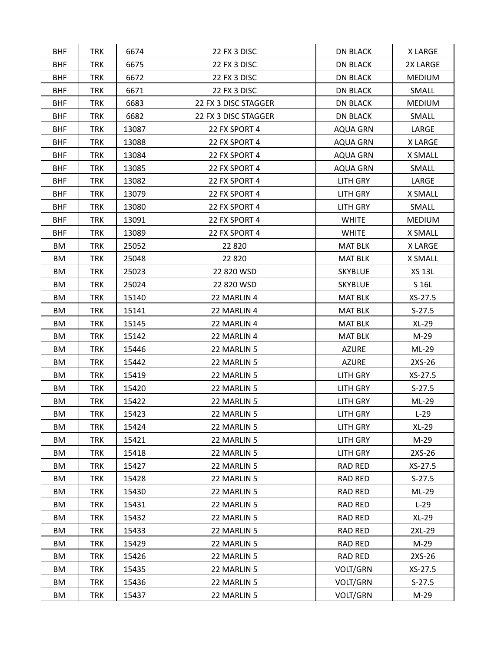| <b>BHF</b> | <b>TRK</b> | 6674  | 22 FX 3 DISC         | <b>DN BLACK</b> | X LARGE        |
|------------|------------|-------|----------------------|-----------------|----------------|
| <b>BHF</b> | <b>TRK</b> | 6675  | 22 FX 3 DISC         | <b>DN BLACK</b> | 2X LARGE       |
| <b>BHF</b> | <b>TRK</b> | 6672  | 22 FX 3 DISC         | <b>DN BLACK</b> | <b>MEDIUM</b>  |
| <b>BHF</b> | <b>TRK</b> | 6671  | 22 FX 3 DISC         | <b>DN BLACK</b> | SMALL          |
| <b>BHF</b> | <b>TRK</b> | 6683  | 22 FX 3 DISC STAGGER | <b>DN BLACK</b> | <b>MEDIUM</b>  |
| <b>BHF</b> | <b>TRK</b> | 6682  | 22 FX 3 DISC STAGGER | <b>DN BLACK</b> | SMALL          |
| <b>BHF</b> | <b>TRK</b> | 13087 | 22 FX SPORT 4        | <b>AQUA GRN</b> | LARGE          |
| <b>BHF</b> | <b>TRK</b> | 13088 | 22 FX SPORT 4        | <b>AQUA GRN</b> | <b>X LARGE</b> |
| <b>BHF</b> | <b>TRK</b> | 13084 | 22 FX SPORT 4        | <b>AQUA GRN</b> | X SMALL        |
| <b>BHF</b> | <b>TRK</b> | 13085 | 22 FX SPORT 4        | <b>AQUA GRN</b> | SMALL          |
| <b>BHF</b> | <b>TRK</b> | 13082 | 22 FX SPORT 4        | LITH GRY        | LARGE          |
| <b>BHF</b> | <b>TRK</b> | 13079 | 22 FX SPORT 4        | LITH GRY        | <b>X SMALL</b> |
| <b>BHF</b> | <b>TRK</b> | 13080 | 22 FX SPORT 4        | LITH GRY        | SMALL          |
| <b>BHF</b> | <b>TRK</b> | 13091 | 22 FX SPORT 4        | <b>WHITE</b>    | <b>MEDIUM</b>  |
| <b>BHF</b> | <b>TRK</b> | 13089 | 22 FX SPORT 4        | <b>WHITE</b>    | X SMALL        |
| <b>BM</b>  | <b>TRK</b> | 25052 | 22 8 20              | <b>MAT BLK</b>  | X LARGE        |
| ВM         | <b>TRK</b> | 25048 | 22 8 20              | <b>MAT BLK</b>  | X SMALL        |
| <b>BM</b>  | <b>TRK</b> | 25023 | 22 820 WSD           | <b>SKYBLUE</b>  | <b>XS 13L</b>  |
| <b>BM</b>  | <b>TRK</b> | 25024 | 22 820 WSD           | <b>SKYBLUE</b>  | S 16L          |
| <b>BM</b>  | <b>TRK</b> | 15140 | 22 MARLIN 4          | <b>MAT BLK</b>  | XS-27.5        |
| BM         | <b>TRK</b> | 15141 | 22 MARLIN 4          | <b>MAT BLK</b>  | $S-27.5$       |
| <b>BM</b>  | <b>TRK</b> | 15145 | 22 MARLIN 4          | <b>MAT BLK</b>  | $XL-29$        |
| <b>BM</b>  | <b>TRK</b> | 15142 | 22 MARLIN 4          | <b>MAT BLK</b>  | $M-29$         |
| <b>BM</b>  | <b>TRK</b> | 15446 | 22 MARLIN 5          | <b>AZURE</b>    | ML-29          |
| ΒM         | <b>TRK</b> | 15442 | 22 MARLIN 5          | <b>AZURE</b>    | 2XS-26         |
| <b>BM</b>  | <b>TRK</b> | 15419 | 22 MARLIN 5          | <b>LITH GRY</b> | $XS-27.5$      |
| <b>BM</b>  | <b>TRK</b> | 15420 | 22 MARLIN 5          | LITH GRY        | $S-27.5$       |
| BM         | <b>TRK</b> | 15422 | 22 MARLIN 5          | LITH GRY        | ML-29          |
| BM         | <b>TRK</b> | 15423 | 22 MARLIN 5          | LITH GRY        | $L-29$         |
| ВM         | <b>TRK</b> | 15424 | 22 MARLIN 5          | LITH GRY        | $XL-29$        |
| <b>BM</b>  | <b>TRK</b> | 15421 | 22 MARLIN 5          | LITH GRY        | $M-29$         |
| <b>BM</b>  | <b>TRK</b> | 15418 | 22 MARLIN 5          | LITH GRY        | 2XS-26         |
| ВM         | <b>TRK</b> | 15427 | 22 MARLIN 5          | RAD RED         | XS-27.5        |
| ВM         | <b>TRK</b> | 15428 | 22 MARLIN 5          | RAD RED         | $S-27.5$       |
| BM         | <b>TRK</b> | 15430 | 22 MARLIN 5          | <b>RAD RED</b>  | ML-29          |
| ВM         | <b>TRK</b> | 15431 | 22 MARLIN 5          | <b>RAD RED</b>  | $L-29$         |
| ВM         | <b>TRK</b> | 15432 | 22 MARLIN 5          | RAD RED         | $XL-29$        |
| <b>BM</b>  | <b>TRK</b> | 15433 | 22 MARLIN 5          | <b>RAD RED</b>  | 2XL-29         |
| BM         | <b>TRK</b> | 15429 | 22 MARLIN 5          | <b>RAD RED</b>  | $M-29$         |
| <b>BM</b>  | <b>TRK</b> | 15426 | 22 MARLIN 5          | <b>RAD RED</b>  | 2XS-26         |
| ВM         | <b>TRK</b> | 15435 | 22 MARLIN 5          | VOLT/GRN        | $XS-27.5$      |
| ВM         | <b>TRK</b> | 15436 | 22 MARLIN 5          | VOLT/GRN        | $S-27.5$       |
| BM         | <b>TRK</b> | 15437 | 22 MARLIN 5          | VOLT/GRN        | $M-29$         |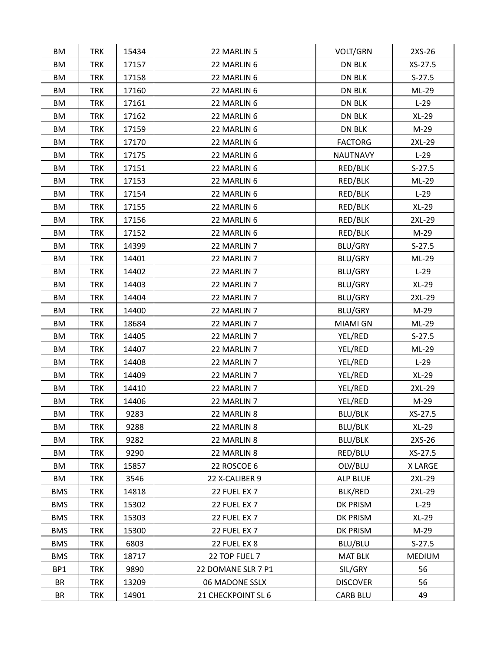| <b>BM</b>  | <b>TRK</b> | 15434 | 22 MARLIN 5         | VOLT/GRN        | 2XS-26        |
|------------|------------|-------|---------------------|-----------------|---------------|
| <b>BM</b>  | <b>TRK</b> | 17157 | 22 MARLIN 6         | <b>DN BLK</b>   | XS-27.5       |
| <b>BM</b>  | <b>TRK</b> | 17158 | 22 MARLIN 6         | <b>DN BLK</b>   | $S-27.5$      |
| BM         | <b>TRK</b> | 17160 | 22 MARLIN 6         | <b>DN BLK</b>   | ML-29         |
| <b>BM</b>  | <b>TRK</b> | 17161 | 22 MARLIN 6         | <b>DN BLK</b>   | $L-29$        |
| <b>BM</b>  | <b>TRK</b> | 17162 | 22 MARLIN 6         | <b>DN BLK</b>   | $XL-29$       |
| <b>BM</b>  | <b>TRK</b> | 17159 | 22 MARLIN 6         | <b>DN BLK</b>   | M-29          |
| <b>BM</b>  | <b>TRK</b> | 17170 | 22 MARLIN 6         | <b>FACTORG</b>  | 2XL-29        |
| <b>BM</b>  | <b>TRK</b> | 17175 | 22 MARLIN 6         | <b>NAUTNAVY</b> | $L-29$        |
| <b>BM</b>  | <b>TRK</b> | 17151 | 22 MARLIN 6         | RED/BLK         | $S-27.5$      |
| <b>BM</b>  | <b>TRK</b> | 17153 | 22 MARLIN 6         | RED/BLK         | ML-29         |
| <b>BM</b>  | <b>TRK</b> | 17154 | 22 MARLIN 6         | RED/BLK         | $L-29$        |
| <b>BM</b>  | <b>TRK</b> | 17155 | 22 MARLIN 6         | RED/BLK         | $XL-29$       |
| <b>BM</b>  | <b>TRK</b> | 17156 | 22 MARLIN 6         | RED/BLK         | 2XL-29        |
| <b>BM</b>  | <b>TRK</b> | 17152 | 22 MARLIN 6         | RED/BLK         | $M-29$        |
| <b>BM</b>  | <b>TRK</b> | 14399 | 22 MARLIN 7         | <b>BLU/GRY</b>  | $S-27.5$      |
| <b>BM</b>  | <b>TRK</b> | 14401 | 22 MARLIN 7         | BLU/GRY         | ML-29         |
| <b>BM</b>  | <b>TRK</b> | 14402 | 22 MARLIN 7         | <b>BLU/GRY</b>  | $L-29$        |
| <b>BM</b>  | <b>TRK</b> | 14403 | 22 MARLIN 7         | BLU/GRY         | $XL-29$       |
| BM         | <b>TRK</b> | 14404 | 22 MARLIN 7         | <b>BLU/GRY</b>  | 2XL-29        |
| <b>BM</b>  | <b>TRK</b> | 14400 | 22 MARLIN 7         | <b>BLU/GRY</b>  | $M-29$        |
| <b>BM</b>  | <b>TRK</b> | 18684 | 22 MARLIN 7         | MIAMI GN        | ML-29         |
| <b>BM</b>  | <b>TRK</b> | 14405 | 22 MARLIN 7         | YEL/RED         | $S-27.5$      |
| <b>BM</b>  | <b>TRK</b> | 14407 | 22 MARLIN 7         | YEL/RED         | ML-29         |
| ΒM         | <b>TRK</b> | 14408 | 22 MARLIN 7         | YEL/RED         | $L-29$        |
| <b>BM</b>  | <b>TRK</b> | 14409 | 22 MARLIN 7         | YEL/RED         | $XL-29$       |
| <b>BM</b>  | <b>TRK</b> | 14410 | 22 MARLIN 7         | YEL/RED         | 2XL-29        |
| BM         | <b>TRK</b> | 14406 | 22 MARLIN 7         | YEL/RED         | $M-29$        |
| <b>BM</b>  | <b>TRK</b> | 9283  | 22 MARLIN 8         | <b>BLU/BLK</b>  | XS-27.5       |
| ВM         | <b>TRK</b> | 9288  | 22 MARLIN 8         | BLU/BLK         | $XL-29$       |
| <b>BM</b>  | <b>TRK</b> | 9282  | 22 MARLIN 8         | BLU/BLK         | 2XS-26        |
| <b>BM</b>  | <b>TRK</b> | 9290  | 22 MARLIN 8         | RED/BLU         | XS-27.5       |
| ВM         | <b>TRK</b> | 15857 | 22 ROSCOE 6         | OLV/BLU         | X LARGE       |
| <b>BM</b>  | <b>TRK</b> | 3546  | 22 X-CALIBER 9      | ALP BLUE        | 2XL-29        |
| <b>BMS</b> | <b>TRK</b> | 14818 | 22 FUEL EX 7        | BLK/RED         | 2XL-29        |
| <b>BMS</b> | <b>TRK</b> | 15302 | 22 FUEL EX 7        | DK PRISM        | $L-29$        |
| <b>BMS</b> | <b>TRK</b> | 15303 | <b>22 FUEL EX 7</b> | DK PRISM        | $XL-29$       |
| <b>BMS</b> | <b>TRK</b> | 15300 | 22 FUEL EX 7        | DK PRISM        | $M-29$        |
| <b>BMS</b> | <b>TRK</b> | 6803  | 22 FUEL EX 8        | BLU/BLU         | $S-27.5$      |
| <b>BMS</b> | <b>TRK</b> | 18717 | 22 TOP FUEL 7       | <b>MAT BLK</b>  | <b>MEDIUM</b> |
| BP1        | <b>TRK</b> | 9890  | 22 DOMANE SLR 7 P1  | SIL/GRY         | 56            |
| BR         | <b>TRK</b> | 13209 | 06 MADONE SSLX      | <b>DISCOVER</b> | 56            |
| <b>BR</b>  | <b>TRK</b> | 14901 | 21 CHECKPOINT SL 6  | <b>CARB BLU</b> | 49            |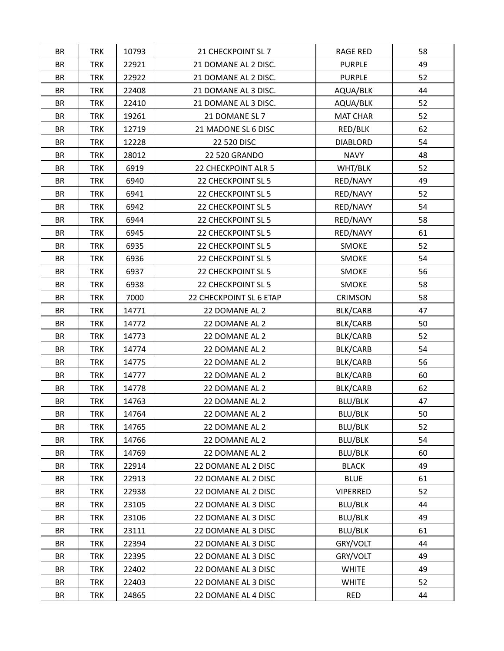| BR        | <b>TRK</b> | 10793 | 21 CHECKPOINT SL 7      | <b>RAGE RED</b> | 58 |
|-----------|------------|-------|-------------------------|-----------------|----|
| <b>BR</b> | <b>TRK</b> | 22921 | 21 DOMANE AL 2 DISC.    | <b>PURPLE</b>   | 49 |
| <b>BR</b> | <b>TRK</b> | 22922 | 21 DOMANE AL 2 DISC.    | <b>PURPLE</b>   | 52 |
| BR        | <b>TRK</b> | 22408 | 21 DOMANE AL 3 DISC.    | AQUA/BLK        | 44 |
| BR        | <b>TRK</b> | 22410 | 21 DOMANE AL 3 DISC.    | AQUA/BLK        | 52 |
| <b>BR</b> | <b>TRK</b> | 19261 | 21 DOMANE SL 7          | <b>MAT CHAR</b> | 52 |
| BR        | <b>TRK</b> | 12719 | 21 MADONE SL 6 DISC     | RED/BLK         | 62 |
| BR        | <b>TRK</b> | 12228 | 22 520 DISC             | <b>DIABLORD</b> | 54 |
| BR        | <b>TRK</b> | 28012 | 22 520 GRANDO           | <b>NAVY</b>     | 48 |
| <b>BR</b> | <b>TRK</b> | 6919  | 22 CHECKPOINT ALR 5     | WHT/BLK         | 52 |
| <b>BR</b> | <b>TRK</b> | 6940  | 22 CHECKPOINT SL 5      | RED/NAVY        | 49 |
| BR        | <b>TRK</b> | 6941  | 22 CHECKPOINT SL 5      | RED/NAVY        | 52 |
| BR        | <b>TRK</b> | 6942  | 22 CHECKPOINT SL 5      | RED/NAVY        | 54 |
| <b>BR</b> | <b>TRK</b> | 6944  | 22 CHECKPOINT SL 5      | RED/NAVY        | 58 |
| BR        | <b>TRK</b> | 6945  | 22 CHECKPOINT SL 5      | RED/NAVY        | 61 |
| BR        | <b>TRK</b> | 6935  | 22 CHECKPOINT SL 5      | <b>SMOKE</b>    | 52 |
| BR        | <b>TRK</b> | 6936  | 22 CHECKPOINT SL 5      | <b>SMOKE</b>    | 54 |
| BR        | <b>TRK</b> | 6937  | 22 CHECKPOINT SL 5      | <b>SMOKE</b>    | 56 |
| <b>BR</b> | <b>TRK</b> | 6938  | 22 CHECKPOINT SL 5      | <b>SMOKE</b>    | 58 |
| BR        | <b>TRK</b> | 7000  | 22 CHECKPOINT SL 6 ETAP | <b>CRIMSON</b>  | 58 |
| BR        | <b>TRK</b> | 14771 | 22 DOMANE AL 2          | <b>BLK/CARB</b> | 47 |
| BR        | <b>TRK</b> | 14772 | 22 DOMANE AL 2          | BLK/CARB        | 50 |
| BR        | <b>TRK</b> | 14773 | 22 DOMANE AL 2          | <b>BLK/CARB</b> | 52 |
| BR        | <b>TRK</b> | 14774 | 22 DOMANE AL 2          | <b>BLK/CARB</b> | 54 |
| BR        | <b>TRK</b> | 14775 | 22 DOMANE AL 2          | BLK/CARB        | 56 |
| <b>BR</b> | <b>TRK</b> | 14777 | 22 DOMANE AL 2          | <b>BLK/CARB</b> | 60 |
| <b>BR</b> | <b>TRK</b> | 14778 | 22 DOMANE AL 2          | <b>BLK/CARB</b> | 62 |
| BR        | <b>TRK</b> | 14763 | 22 DOMANE AL 2          | <b>BLU/BLK</b>  | 47 |
| BR        | <b>TRK</b> | 14764 | 22 DOMANE AL 2          | <b>BLU/BLK</b>  | 50 |
| BR        | <b>TRK</b> | 14765 | 22 DOMANE AL 2          | <b>BLU/BLK</b>  | 52 |
| BR        | <b>TRK</b> | 14766 | 22 DOMANE AL 2          | <b>BLU/BLK</b>  | 54 |
| BR        | <b>TRK</b> | 14769 | 22 DOMANE AL 2          | <b>BLU/BLK</b>  | 60 |
| BR        | <b>TRK</b> | 22914 | 22 DOMANE AL 2 DISC     | <b>BLACK</b>    | 49 |
| BR        | <b>TRK</b> | 22913 | 22 DOMANE AL 2 DISC     | <b>BLUE</b>     | 61 |
| BR        | <b>TRK</b> | 22938 | 22 DOMANE AL 2 DISC     | <b>VIPERRED</b> | 52 |
| BR        | <b>TRK</b> | 23105 | 22 DOMANE AL 3 DISC     | <b>BLU/BLK</b>  | 44 |
| BR        | <b>TRK</b> | 23106 | 22 DOMANE AL 3 DISC     | <b>BLU/BLK</b>  | 49 |
| BR        | <b>TRK</b> | 23111 | 22 DOMANE AL 3 DISC     | <b>BLU/BLK</b>  | 61 |
| BR        | <b>TRK</b> | 22394 | 22 DOMANE AL 3 DISC     | GRY/VOLT        | 44 |
| BR        | <b>TRK</b> | 22395 | 22 DOMANE AL 3 DISC     | GRY/VOLT        | 49 |
| BR        | <b>TRK</b> | 22402 | 22 DOMANE AL 3 DISC     | <b>WHITE</b>    | 49 |
| BR        | <b>TRK</b> | 22403 | 22 DOMANE AL 3 DISC     | <b>WHITE</b>    | 52 |
| BR        | <b>TRK</b> | 24865 | 22 DOMANE AL 4 DISC     | <b>RED</b>      | 44 |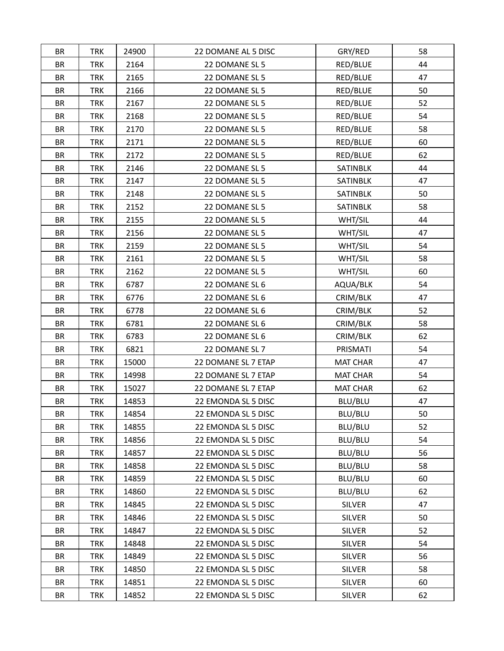| <b>BR</b> | <b>TRK</b> | 24900 | 22 DOMANE AL 5 DISC | GRY/RED         | 58 |
|-----------|------------|-------|---------------------|-----------------|----|
| <b>BR</b> | <b>TRK</b> | 2164  | 22 DOMANE SL 5      | RED/BLUE        | 44 |
| <b>BR</b> | <b>TRK</b> | 2165  | 22 DOMANE SL 5      | RED/BLUE        | 47 |
| BR        | <b>TRK</b> | 2166  | 22 DOMANE SL 5      | RED/BLUE        | 50 |
| <b>BR</b> | <b>TRK</b> | 2167  | 22 DOMANE SL 5      | RED/BLUE        | 52 |
| <b>BR</b> | <b>TRK</b> | 2168  | 22 DOMANE SL 5      | RED/BLUE        | 54 |
| <b>BR</b> | <b>TRK</b> | 2170  | 22 DOMANE SL 5      | RED/BLUE        | 58 |
| <b>BR</b> | <b>TRK</b> | 2171  | 22 DOMANE SL 5      | RED/BLUE        | 60 |
| <b>BR</b> | <b>TRK</b> | 2172  | 22 DOMANE SL 5      | RED/BLUE        | 62 |
| <b>BR</b> | <b>TRK</b> | 2146  | 22 DOMANE SL 5      | SATINBLK        | 44 |
| <b>BR</b> | <b>TRK</b> | 2147  | 22 DOMANE SL 5      | SATINBLK        | 47 |
| <b>BR</b> | <b>TRK</b> | 2148  | 22 DOMANE SL 5      | SATINBLK        | 50 |
| <b>BR</b> | <b>TRK</b> | 2152  | 22 DOMANE SL 5      | SATINBLK        | 58 |
| <b>BR</b> | <b>TRK</b> | 2155  | 22 DOMANE SL 5      | WHT/SIL         | 44 |
| <b>BR</b> | <b>TRK</b> | 2156  | 22 DOMANE SL 5      | WHT/SIL         | 47 |
| <b>BR</b> | <b>TRK</b> | 2159  | 22 DOMANE SL 5      | WHT/SIL         | 54 |
| <b>BR</b> | <b>TRK</b> | 2161  | 22 DOMANE SL 5      | WHT/SIL         | 58 |
| <b>BR</b> | <b>TRK</b> | 2162  | 22 DOMANE SL 5      | WHT/SIL         | 60 |
| <b>BR</b> | <b>TRK</b> | 6787  | 22 DOMANE SL 6      | AQUA/BLK        | 54 |
| <b>BR</b> | <b>TRK</b> | 6776  | 22 DOMANE SL 6      | CRIM/BLK        | 47 |
| <b>BR</b> | <b>TRK</b> | 6778  | 22 DOMANE SL 6      | CRIM/BLK        | 52 |
| <b>BR</b> | <b>TRK</b> | 6781  | 22 DOMANE SL 6      | CRIM/BLK        | 58 |
| <b>BR</b> | <b>TRK</b> | 6783  | 22 DOMANE SL 6      | CRIM/BLK        | 62 |
| <b>BR</b> | <b>TRK</b> | 6821  | 22 DOMANE SL 7      | PRISMATI        | 54 |
| <b>BR</b> | <b>TRK</b> | 15000 | 22 DOMANE SL 7 ETAP | <b>MAT CHAR</b> | 47 |
| BR        | <b>TRK</b> | 14998 | 22 DOMANE SL 7 ETAP | <b>MAT CHAR</b> | 54 |
| <b>BR</b> | <b>TRK</b> | 15027 | 22 DOMANE SL 7 ETAP | <b>MAT CHAR</b> | 62 |
| <b>BR</b> | <b>TRK</b> | 14853 | 22 EMONDA SL 5 DISC | BLU/BLU         | 47 |
| BR        | <b>TRK</b> | 14854 | 22 EMONDA SL 5 DISC | BLU/BLU         | 50 |
| <b>BR</b> | <b>TRK</b> | 14855 | 22 EMONDA SL 5 DISC | BLU/BLU         | 52 |
| <b>BR</b> | <b>TRK</b> | 14856 | 22 EMONDA SL 5 DISC | BLU/BLU         | 54 |
| <b>BR</b> | <b>TRK</b> | 14857 | 22 EMONDA SL 5 DISC | BLU/BLU         | 56 |
| <b>BR</b> | <b>TRK</b> | 14858 | 22 EMONDA SL 5 DISC | BLU/BLU         | 58 |
| BR        | <b>TRK</b> | 14859 | 22 EMONDA SL 5 DISC | BLU/BLU         | 60 |
| BR        | <b>TRK</b> | 14860 | 22 EMONDA SL 5 DISC | BLU/BLU         | 62 |
| BR        | <b>TRK</b> | 14845 | 22 EMONDA SL 5 DISC | <b>SILVER</b>   | 47 |
| BR        | <b>TRK</b> | 14846 | 22 EMONDA SL 5 DISC | <b>SILVER</b>   | 50 |
| BR        | <b>TRK</b> | 14847 | 22 EMONDA SL 5 DISC | <b>SILVER</b>   | 52 |
| <b>BR</b> | <b>TRK</b> | 14848 | 22 EMONDA SL 5 DISC | <b>SILVER</b>   | 54 |
| <b>BR</b> | <b>TRK</b> | 14849 | 22 EMONDA SL 5 DISC | <b>SILVER</b>   | 56 |
| BR        | <b>TRK</b> | 14850 | 22 EMONDA SL 5 DISC | <b>SILVER</b>   | 58 |
| BR        | <b>TRK</b> | 14851 | 22 EMONDA SL 5 DISC | <b>SILVER</b>   | 60 |
| <b>BR</b> | <b>TRK</b> | 14852 | 22 EMONDA SL 5 DISC | <b>SILVER</b>   | 62 |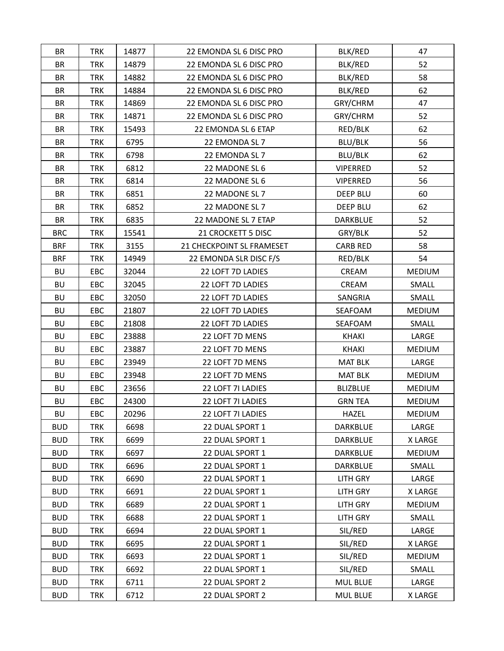| BR         | <b>TRK</b> | 14877 | 22 EMONDA SL 6 DISC PRO   | <b>BLK/RED</b>  | 47            |
|------------|------------|-------|---------------------------|-----------------|---------------|
| <b>BR</b>  | <b>TRK</b> | 14879 | 22 EMONDA SL 6 DISC PRO   | <b>BLK/RED</b>  | 52            |
| <b>BR</b>  | <b>TRK</b> | 14882 | 22 EMONDA SL 6 DISC PRO   | BLK/RED         | 58            |
| BR         | <b>TRK</b> | 14884 | 22 EMONDA SL 6 DISC PRO   | BLK/RED         | 62            |
| BR         | <b>TRK</b> | 14869 | 22 EMONDA SL 6 DISC PRO   | GRY/CHRM        | 47            |
| <b>BR</b>  | <b>TRK</b> | 14871 | 22 EMONDA SL 6 DISC PRO   | GRY/CHRM        | 52            |
| BR         | <b>TRK</b> | 15493 | 22 EMONDA SL 6 ETAP       | RED/BLK         | 62            |
| <b>BR</b>  | <b>TRK</b> | 6795  | 22 EMONDA SL 7            | <b>BLU/BLK</b>  | 56            |
| <b>BR</b>  | <b>TRK</b> | 6798  | 22 EMONDA SL 7            | BLU/BLK         | 62            |
| <b>BR</b>  | <b>TRK</b> | 6812  | 22 MADONE SL 6            | <b>VIPERRED</b> | 52            |
| <b>BR</b>  | <b>TRK</b> | 6814  | 22 MADONE SL 6            | <b>VIPERRED</b> | 56            |
| <b>BR</b>  | <b>TRK</b> | 6851  | 22 MADONE SL 7            | <b>DEEP BLU</b> | 60            |
| BR         | <b>TRK</b> | 6852  | 22 MADONE SL 7            | <b>DEEP BLU</b> | 62            |
| <b>BR</b>  | <b>TRK</b> | 6835  | 22 MADONE SL 7 ETAP       | <b>DARKBLUE</b> | 52            |
| <b>BRC</b> | <b>TRK</b> | 15541 | 21 CROCKETT 5 DISC        | GRY/BLK         | 52            |
| <b>BRF</b> | <b>TRK</b> | 3155  | 21 CHECKPOINT SL FRAMESET | <b>CARB RED</b> | 58            |
| <b>BRF</b> | <b>TRK</b> | 14949 | 22 EMONDA SLR DISC F/S    | RED/BLK         | 54            |
| <b>BU</b>  | EBC        | 32044 | 22 LOFT 7D LADIES         | CREAM           | <b>MEDIUM</b> |
| <b>BU</b>  | EBC        | 32045 | 22 LOFT 7D LADIES         | CREAM           | SMALL         |
| <b>BU</b>  | EBC        | 32050 | 22 LOFT 7D LADIES         | SANGRIA         | SMALL         |
| <b>BU</b>  | EBC        | 21807 | 22 LOFT 7D LADIES         | SEAFOAM         | <b>MEDIUM</b> |
| <b>BU</b>  | EBC        | 21808 | 22 LOFT 7D LADIES         | SEAFOAM         | SMALL         |
| BU         | EBC        | 23888 | 22 LOFT 7D MENS           | <b>KHAKI</b>    | LARGE         |
| <b>BU</b>  | EBC        | 23887 | 22 LOFT 7D MENS           | <b>KHAKI</b>    | <b>MEDIUM</b> |
| <b>BU</b>  | EBC        | 23949 | 22 LOFT 7D MENS           | <b>MAT BLK</b>  | LARGE         |
| <b>BU</b>  | EBC        | 23948 | 22 LOFT 7D MENS           | <b>MAT BLK</b>  | <b>MEDIUM</b> |
| <b>BU</b>  | EBC        | 23656 | 22 LOFT 71 LADIES         | <b>BLIZBLUE</b> | <b>MEDIUM</b> |
| <b>BU</b>  | EBC        | 24300 | 22 LOFT 71 LADIES         | <b>GRN TEA</b>  | <b>MEDIUM</b> |
| BU         | EBC        | 20296 | 22 LOFT 7I LADIES         | <b>HAZEL</b>    | <b>MEDIUM</b> |
| <b>BUD</b> | <b>TRK</b> | 6698  | 22 DUAL SPORT 1           | <b>DARKBLUE</b> | LARGE         |
| <b>BUD</b> | <b>TRK</b> | 6699  | 22 DUAL SPORT 1           | <b>DARKBLUE</b> | X LARGE       |
| <b>BUD</b> | <b>TRK</b> | 6697  | 22 DUAL SPORT 1           | DARKBLUE        | <b>MEDIUM</b> |
| <b>BUD</b> | <b>TRK</b> | 6696  | 22 DUAL SPORT 1           | <b>DARKBLUE</b> | SMALL         |
| <b>BUD</b> | <b>TRK</b> | 6690  | 22 DUAL SPORT 1           | LITH GRY        | LARGE         |
| <b>BUD</b> | <b>TRK</b> | 6691  | 22 DUAL SPORT 1           | LITH GRY        | X LARGE       |
| <b>BUD</b> | <b>TRK</b> | 6689  | 22 DUAL SPORT 1           | LITH GRY        | <b>MEDIUM</b> |
| <b>BUD</b> | <b>TRK</b> | 6688  | 22 DUAL SPORT 1           | LITH GRY        | SMALL         |
| <b>BUD</b> | <b>TRK</b> | 6694  | 22 DUAL SPORT 1           | SIL/RED         | LARGE         |
| <b>BUD</b> | <b>TRK</b> | 6695  | 22 DUAL SPORT 1           | SIL/RED         | X LARGE       |
| <b>BUD</b> | <b>TRK</b> | 6693  | 22 DUAL SPORT 1           | SIL/RED         | <b>MEDIUM</b> |
| <b>BUD</b> | <b>TRK</b> | 6692  | 22 DUAL SPORT 1           | SIL/RED         | SMALL         |
| <b>BUD</b> | <b>TRK</b> | 6711  | 22 DUAL SPORT 2           | <b>MUL BLUE</b> | LARGE         |
| <b>BUD</b> | <b>TRK</b> | 6712  | 22 DUAL SPORT 2           | <b>MUL BLUE</b> | X LARGE       |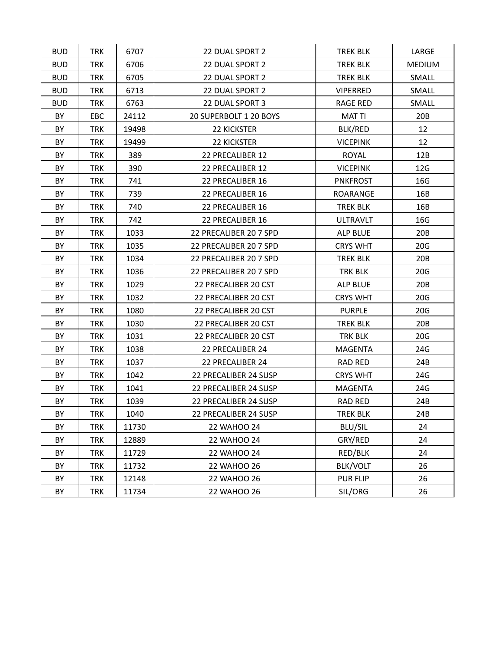| <b>BUD</b> | <b>TRK</b> | 6707  | 22 DUAL SPORT 2        | <b>TREK BLK</b> | LARGE         |
|------------|------------|-------|------------------------|-----------------|---------------|
| <b>BUD</b> | <b>TRK</b> | 6706  | 22 DUAL SPORT 2        | <b>TREK BLK</b> | <b>MEDIUM</b> |
| <b>BUD</b> | <b>TRK</b> | 6705  | 22 DUAL SPORT 2        | <b>TREK BLK</b> | SMALL         |
| <b>BUD</b> | <b>TRK</b> | 6713  | 22 DUAL SPORT 2        | <b>VIPERRED</b> | SMALL         |
| <b>BUD</b> | <b>TRK</b> | 6763  | 22 DUAL SPORT 3        | <b>RAGE RED</b> | SMALL         |
| BY         | EBC        | 24112 | 20 SUPERBOLT 1 20 BOYS | <b>MAT TI</b>   | 20B           |
| BY         | <b>TRK</b> | 19498 | <b>22 KICKSTER</b>     | <b>BLK/RED</b>  | 12            |
| BY         | <b>TRK</b> | 19499 | <b>22 KICKSTER</b>     | <b>VICEPINK</b> | 12            |
| BY         | <b>TRK</b> | 389   | 22 PRECALIBER 12       | <b>ROYAL</b>    | 12B           |
| BY         | <b>TRK</b> | 390   | 22 PRECALIBER 12       | <b>VICEPINK</b> | 12G           |
| BY         | <b>TRK</b> | 741   | 22 PRECALIBER 16       | <b>PNKFROST</b> | 16G           |
| BY         | <b>TRK</b> | 739   | 22 PRECALIBER 16       | <b>ROARANGE</b> | 16B           |
| BY         | <b>TRK</b> | 740   | 22 PRECALIBER 16       | TREK BLK        | 16B           |
| BY         | <b>TRK</b> | 742   | 22 PRECALIBER 16       | <b>ULTRAVLT</b> | 16G           |
| BY         | <b>TRK</b> | 1033  | 22 PRECALIBER 20 7 SPD | <b>ALP BLUE</b> | 20B           |
| BY         | <b>TRK</b> | 1035  | 22 PRECALIBER 20 7 SPD | <b>CRYS WHT</b> | 20G           |
| BY         | <b>TRK</b> | 1034  | 22 PRECALIBER 20 7 SPD | <b>TREK BLK</b> | 20B           |
| BY         | <b>TRK</b> | 1036  | 22 PRECALIBER 20 7 SPD | <b>TRK BLK</b>  | 20G           |
| BY         | <b>TRK</b> | 1029  | 22 PRECALIBER 20 CST   | <b>ALP BLUE</b> | 20B           |
| BY         | <b>TRK</b> | 1032  | 22 PRECALIBER 20 CST   | <b>CRYS WHT</b> | 20G           |
| BY         | <b>TRK</b> | 1080  | 22 PRECALIBER 20 CST   | <b>PURPLE</b>   | 20G           |
| BY         | <b>TRK</b> | 1030  | 22 PRECALIBER 20 CST   | <b>TREK BLK</b> | 20B           |
| BY         | <b>TRK</b> | 1031  | 22 PRECALIBER 20 CST   | <b>TRK BLK</b>  | 20G           |
| BY         | <b>TRK</b> | 1038  | 22 PRECALIBER 24       | <b>MAGENTA</b>  | 24G           |
| BY         | <b>TRK</b> | 1037  | 22 PRECALIBER 24       | <b>RAD RED</b>  | 24B           |
| BY         | <b>TRK</b> | 1042  | 22 PRECALIBER 24 SUSP  | <b>CRYS WHT</b> | 24G           |
| BY         | <b>TRK</b> | 1041  | 22 PRECALIBER 24 SUSP  | <b>MAGENTA</b>  | 24G           |
| BY         | <b>TRK</b> | 1039  | 22 PRECALIBER 24 SUSP  | <b>RAD RED</b>  | 24B           |
| BY         | TRK        | 1040  | 22 PRECALIBER 24 SUSP  | TREK BLK        | 24B           |
| BY         | <b>TRK</b> | 11730 | 22 WAHOO 24            | <b>BLU/SIL</b>  | 24            |
| BY         | <b>TRK</b> | 12889 | 22 WAHOO 24            | GRY/RED         | 24            |
| BY         | <b>TRK</b> | 11729 | 22 WAHOO 24            | RED/BLK         | 24            |
| BY         | <b>TRK</b> | 11732 | 22 WAHOO 26            | <b>BLK/VOLT</b> | 26            |
| BY         | <b>TRK</b> | 12148 | 22 WAHOO 26            | PUR FLIP        | 26            |
| BY         | <b>TRK</b> | 11734 | 22 WAHOO 26            | SIL/ORG         | 26            |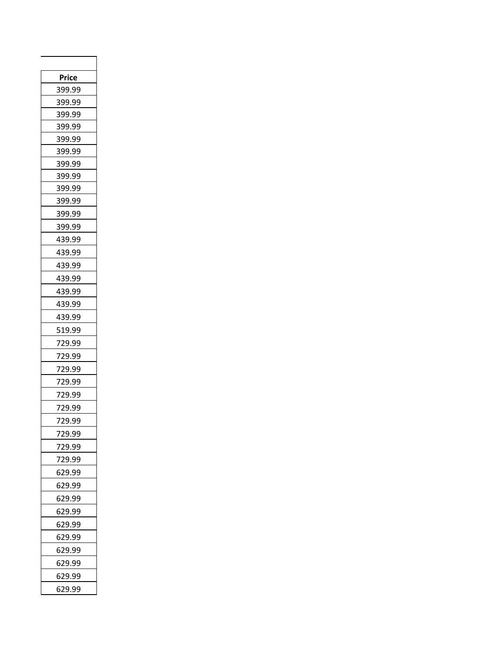| Price            |
|------------------|
| 399.99           |
| 399.99           |
| 399.99<br>399.99 |
| 399.99           |
| 399.99           |
| 399.99           |
| 399.99           |
| 399.99           |
| 399.99           |
| 399.99           |
| 399.99           |
| 439.99           |
| 439.99           |
| 439.99           |
| 439.99           |
| 439.99           |
| 439.99           |
| 439.99           |
| 519.99           |
| 729.99           |
| 729.99           |
| 729.99           |
| 729.99           |
| 729.99           |
| 729.99           |
| 729.99           |
| 729.99           |
| 729.99           |
| 729.99           |
| 629.99           |
| 629.99           |
| 629.99           |
| 629.99           |
| 629.99           |
| 629.99           |
| 629.99           |
| 629.99           |
| 629.99           |
| 629.99           |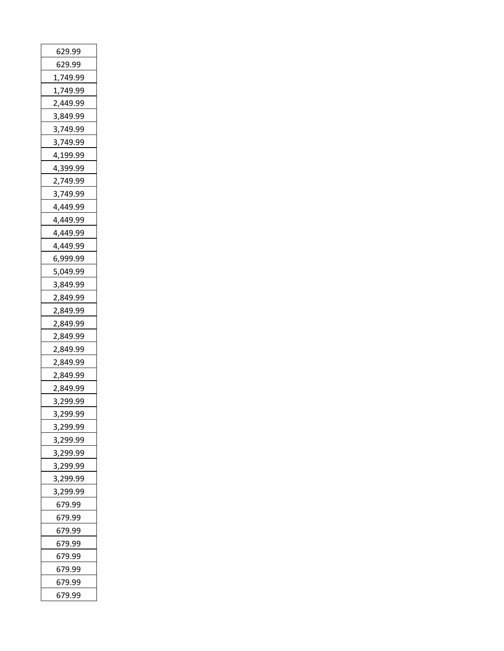| 629.99           |
|------------------|
| 629.99           |
| 1,749.99         |
| 1,749.99         |
| 2,449.99         |
| 3,849.99         |
| 3,749.99         |
| 3,749.99         |
| 4,199.99         |
| 4,399.99         |
| 2,749.99         |
| 3,749.99         |
| 4,449.99         |
| 4,449.99         |
| 4,449.99         |
| 4,449.99         |
| 6,999.99         |
| 5,049.99         |
| 3,84 <u>9.99</u> |
| 2,849.99         |
| 2,849.99         |
| 2,849.99         |
| 2,849.99         |
| 2,849.99         |
| 2,849.99         |
| 2,849.99         |
| 2,849.99         |
| 3,299.99         |
| 3,299.99         |
| 3,299.99         |
| 3,299.99         |
| 3,299.99         |
| 3,299.99         |
| 3,299.99         |
| 3,299.99         |
| 679.99           |
| 679.99           |
| 679.99           |
| 679.99           |
| 679.99           |
| 679.99           |
| 679.99           |
| 679.99           |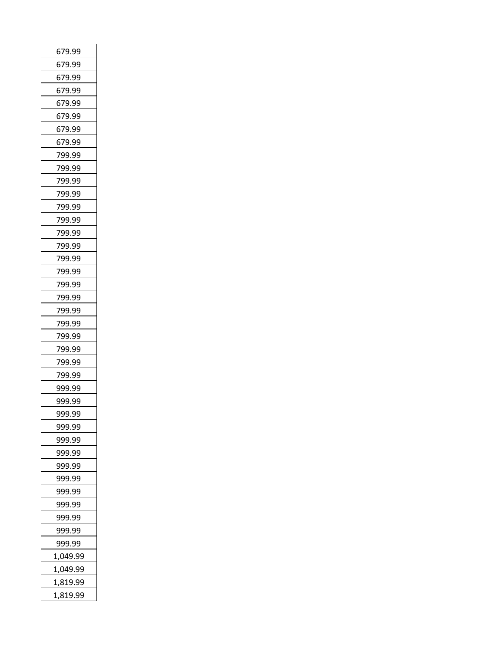| 679.99   |
|----------|
| 679.99   |
| 679.99   |
| 679.99   |
| 679.99   |
| 679.99   |
| 679.99   |
| 679.99   |
| 799.99   |
| 799.99   |
| 799.99   |
| 799.99   |
| 799.99   |
| 799.99   |
| 799.99   |
| 799.99   |
| 799.99   |
| 799.99   |
| 799.99   |
| 799.99   |
| 799.99   |
| 799.99   |
| 799.99   |
| 799.99   |
| 799.99   |
| 799.99   |
| 999.99   |
| 999.99   |
| 999.99   |
| 999.99   |
| 999.99   |
| 999.99   |
| 999.99   |
| 999.99   |
| 999.99   |
| 999.99   |
| 999.99   |
| 999.99   |
| 999.99   |
| 1,049.99 |
| 1,049.99 |
| 1,819.99 |
| 1,819.99 |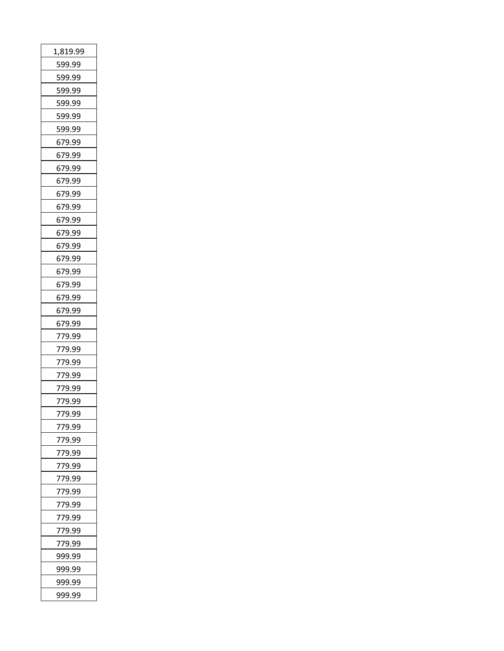| 1,819.99 |
|----------|
| 599.99   |
| 599.99   |
| 599.99   |
| 599.99   |
| 599.99   |
| 599.99   |
| 679.99   |
| 679.99   |
| 679.99   |
| 679.99   |
| 679.99   |
| 679.99   |
| 679.99   |
| 679.99   |
| 679.99   |
| 679.99   |
| 679.99   |
| 679.99   |
| 679.99   |
| 679.99   |
| 679.99   |
| 779.99   |
| 779.99   |
| 779.99   |
| 779.99   |
| 779.99   |
| 779.99   |
| 779.99   |
| 779.99   |
| 779.99   |
| 779.99   |
| 779.99   |
| 779.99   |
| 779.99   |
| 779.99   |
| 779.99   |
| 779.99   |
| 779.99   |
| 999.99   |
| 999.99   |
| 999.99   |
| 999.99   |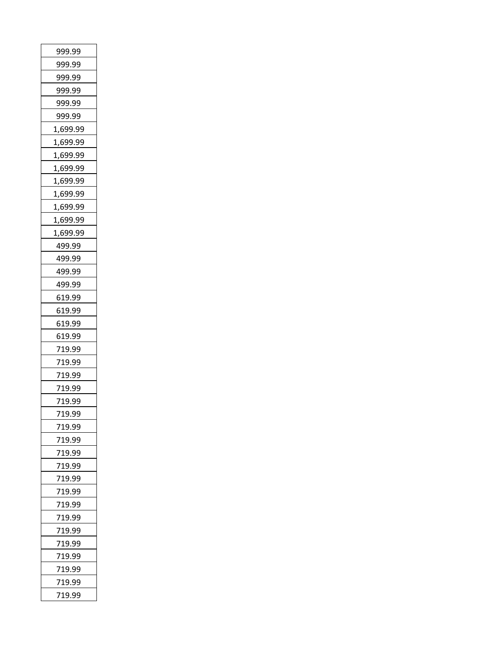| 999.99   |
|----------|
| 999.99   |
| 999.99   |
| 999.99   |
| 999.99   |
| 999.99   |
| 1,699.99 |
| 1,699.99 |
| 1,699.99 |
| 1,699.99 |
| 1,699.99 |
| 1,699.99 |
| 1,699.99 |
| 1,699.99 |
| 1,699.99 |
| 499.99   |
| 499.99   |
| 499.99   |
| 499.99   |
| 619.99   |
| 619.99   |
| 619.99   |
| 619.99   |
| 719.99   |
| 719.99   |
| 719.99   |
| 719.99   |
| 719.99   |
| 719.9¦   |
| 719.99   |
| 719.99   |
| 719.99   |
| 719.99   |
| 719.99   |
| 719.99   |
| 719.99   |
| 719.99   |
| 719.99   |
| 719.99   |
| 719.99   |
| 719.99   |
| 719.99   |
| 719.99   |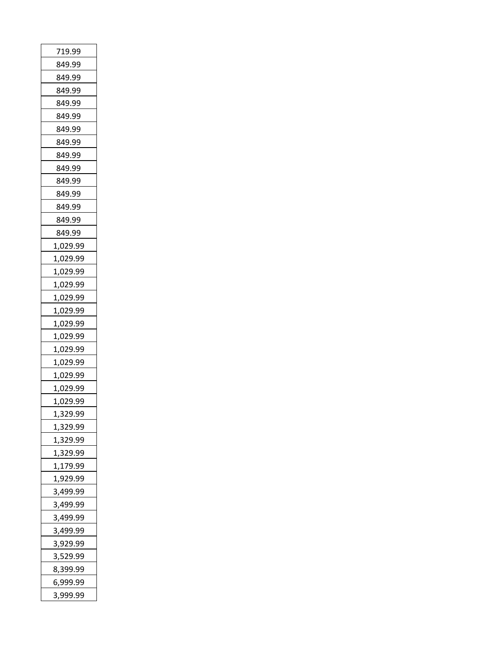| 719.99          |
|-----------------|
| 849.99          |
| 849.99          |
| 849.99          |
| 849.99          |
| 849.99          |
| 849.99          |
| 849.99          |
| 849.99          |
| 849.99          |
| 849.99          |
| 849.99          |
| 849.99          |
| 849.99          |
| 849.99          |
| 1,029.99        |
| 1,029.99        |
| 1,029.99        |
| 1,029.99        |
| 1,029.99        |
| 1,029.99        |
| 1,029.99        |
| 1,029.99        |
| 1,029.99        |
| 1,029.99        |
| 1,029.99        |
| 1,029.99        |
| 1,029.99        |
| 1 <u>,329.9</u> |
| 1,329.99        |
| 1,329.99        |
| 1,329.99        |
| 1,179.99        |
| 1,929.99        |
| 3,499.99        |
| 3,499.99        |
| 3,499.99        |
| 3,499.99        |
| 3,929.99        |
| 3,529.99        |
| 8,399.99        |
| 6,999.99        |
| 3,999.99        |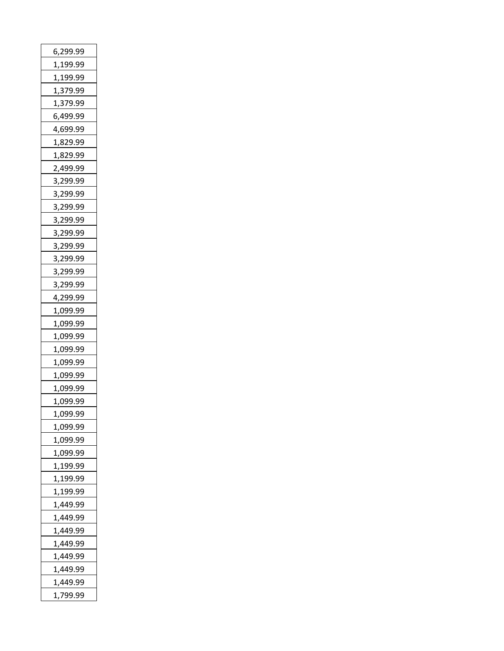| 6,299.99 |
|----------|
| 1,199.99 |
| 1,199.99 |
| 1,379.99 |
| 1,379.99 |
| 6,499.99 |
| 4,699.99 |
| 1,829.99 |
| 1,829.99 |
| 2,499.99 |
| 3,299.99 |
| 3,299.99 |
| 3,299.99 |
| 3,299.99 |
| 3,299.99 |
| 3,299.99 |
| 3,299.99 |
| 3,299.99 |
| 3,299.99 |
| 4,299.99 |
| 1,099.99 |
| 1,099.99 |
| 1,099.99 |
| 1,099.99 |
| 1,099.99 |
| 1,099.99 |
| 1,099.99 |
| 1,099.99 |
| 1,099.99 |
| 1,099.99 |
| 1,099.99 |
| 1,099.99 |
| 1,199.99 |
| 1,199.99 |
| 1,199.99 |
| 1,449.99 |
| 1,449.99 |
| 1,449.99 |
| 1,449.99 |
| 1,449.99 |
| 1,449.99 |
| 1,449.99 |
| 1,799.99 |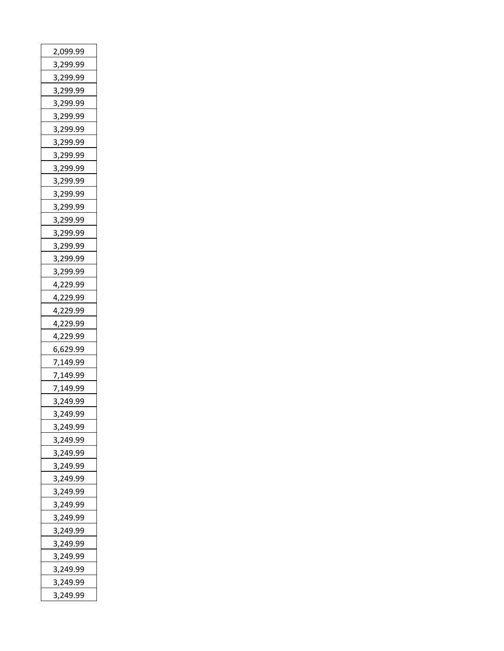| 2,099.99 |
|----------|
| 3,299.99 |
| 3,299.99 |
| 3,299.99 |
| 3,299.99 |
| 3,299.99 |
| 3,299.99 |
| 3,299.99 |
| 3,299.99 |
| 3,299.99 |
| 3,299.99 |
| 3,299.99 |
| 3,299.99 |
| 3,299.99 |
| 3,299.99 |
| 3,299.99 |
| 3,299.99 |
| 3,299.99 |
| 4,229.99 |
| 4,229.99 |
| 4,229.99 |
| 4,229.99 |
| 4,229.99 |
| 6,629.99 |
| 7,149.99 |
| 7,149.99 |
| 7,149.99 |
| 3,249.99 |
| 3,249.99 |
| 3,249.99 |
| 3,249.99 |
| 3,249.99 |
| 3,249.99 |
| 3,249.99 |
| 3,249.99 |
| 3,249.99 |
| 3,249.99 |
| 3,249.99 |
| 3,249.99 |
| 3,249.99 |
| 3,249.99 |
| 3,249.99 |
| 3,249.99 |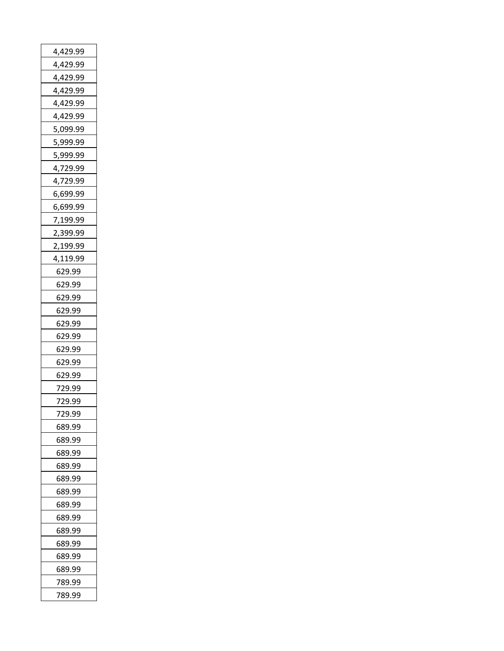| 4,429.99 |
|----------|
| 4,429.99 |
| 4,429.99 |
| 4,429.99 |
| 4,429.99 |
| 4,429.99 |
| 5,099.99 |
| 5,999.99 |
| 5,999.99 |
| 4,729.99 |
| 4,729.99 |
| 6,699.99 |
| 6,699.99 |
| 7,199.99 |
| 2,399.99 |
| 2,199.99 |
| 4,119.99 |
| 629.99   |
| 629.99   |
| 629.99   |
| 629.99   |
| 629.99   |
| 629.99   |
| 629.99   |
| 629.99   |
| 629.99   |
| 729.99   |
| 729.99   |
| 729.99   |
| 689.99   |
| 689.99   |
| 689.99   |
| 689.99   |
| 689.99   |
| 689.99   |
| 689.99   |
| 689.99   |
| 689.99   |
| 689.99   |
| 689.99   |
| 689.99   |
| 789.99   |
| 789.99   |